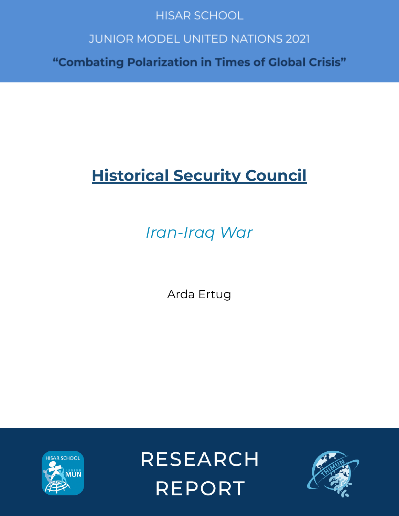# **HISAR SCHOOL**

# **JUNIOR MODEL UNITED NATIONS 2021**

"Combating Polarization in Times of Global Crisis"

# **Historical Security Council**

*Iran-Iraq War*

Arda Ertug



**RESEARCH REPORT** 

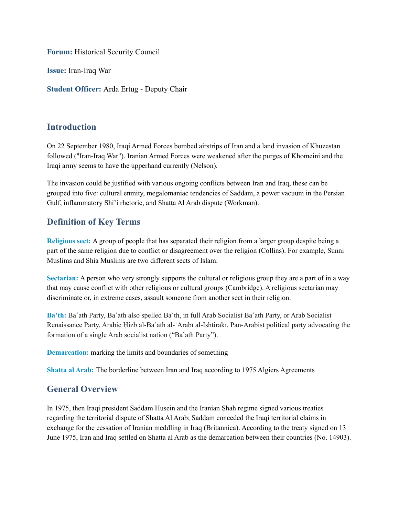**Forum:** Historical Security Council

**Issue:** Iran-Iraq War

**Student Officer:** Arda Ertug - Deputy Chair

## **Introduction**

On 22 September 1980, Iraqi Armed Forces bombed airstrips of Iran and a land invasion of Khuzestan followed ("Iran-Iraq War"). Iranian Armed Forces were weakened after the purges of Khomeini and the Iraqi army seems to have the upperhand currently (Nelson).

The invasion could be justified with various ongoing conflicts between Iran and Iraq, these can be grouped into five: cultural enmity, megalomaniac tendencies of Saddam, a power vacuum in the Persian Gulf, inflammatory Shi'i rhetoric, and Shatta Al Arab dispute (Workman).

# **Definition of Key Terms**

**Religious sect:** A group of people that has separated their religion from a larger group despite being a part of the same religion due to conflict or disagreement over the religion (Collins). For example, Sunni Muslims and Shia Muslims are two different sects of Islam.

**Sectarian:** A person who very strongly supports the cultural or religious group they are a part of in a way that may cause conflict with other religious or cultural groups (Cambridge). A religious sectarian may discriminate or, in extreme cases, assault someone from another sect in their religion.

**Ba'th:** Baʿath Party, Baʿath also spelled Baʿth, in full Arab Socialist Baʿath Party, or Arab Socialist Renaissance Party, Arabic Ḥizb al-Baʿath al-ʿArabī al-Ishtirākī, Pan-Arabist political party advocating the formation of a single Arab socialist nation ("Ba'ath Party").

**Demarcation:** marking the limits and boundaries of something

**Shatta al Arab:** The borderline between Iran and Iraq according to 1975 Algiers Agreements

## **General Overview**

In 1975, then Iraqi president Saddam Husein and the Iranian Shah regime signed various treaties regarding the territorial dispute of Shatta Al Arab; Saddam conceded the Iraqi territorial claims in exchange for the cessation of Iranian meddling in Iraq (Britannica). According to the treaty signed on 13 June 1975, Iran and Iraq settled on Shatta al Arab as the demarcation between their countries (No. 14903).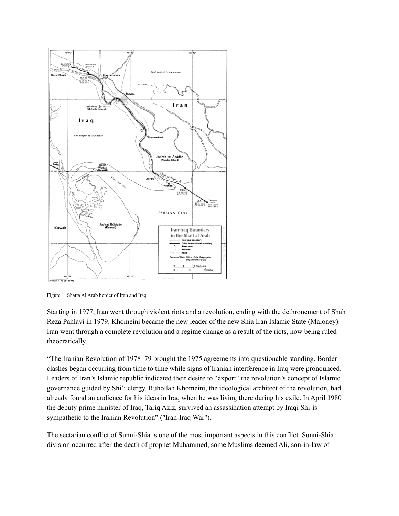

Figure 1: Shatta Al Arab border of Iran and Iraq

Starting in 1977, Iran went through violent riots and a revolution, ending with the dethronement of Shah Reza Pahlavi in 1979. Khomeini became the new leader of the new Shia Iran Islamic State (Maloney). Iran went through a complete revolution and a regime change as a result of the riots, now being ruled theocratically.

"The Iranian Revolution of 1978–79 brought the 1975 agreements into questionable standing. Border clashes began occurring from time to time while signs of Iranian interference in Iraq were pronounced. Leaders of Iran's Islamic republic indicated their desire to "export" the revolution's concept of Islamic governance guided by Shiʿi clergy. Ruhollah Khomeini, the ideological architect of the revolution, had already found an audience for his ideas in Iraq when he was living there during his exile. In April 1980 the deputy prime minister of Iraq, Tariq Aziz, survived an assassination attempt by Iraqi Shiʿis sympathetic to the Iranian Revolution" ("Iran-Iraq War").

The sectarian conflict of Sunni-Shia is one of the most important aspects in this conflict. Sunni-Shia division occurred after the death of prophet Muhammed, some Muslims deemed Ali, son-in-law of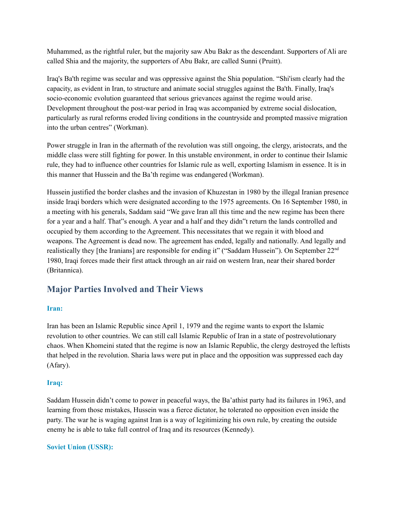Muhammed, as the rightful ruler, but the majority saw Abu Bakr as the descendant. Supporters of Ali are called Shia and the majority, the supporters of Abu Bakr, are called Sunni (Pruitt).

Iraq's Ba'th regime was secular and was oppressive against the Shia population. "Shi'ism clearly had the capacity, as evident in Iran, to structure and animate social struggles against the Ba'th. Finally, Iraq's socio-economic evolution guaranteed that serious grievances against the regime would arise. Development throughout the post-war period in Iraq was accompanied by extreme social dislocation, particularly as rural reforms eroded living conditions in the countryside and prompted massive migration into the urban centres" (Workman).

Power struggle in Iran in the aftermath of the revolution was still ongoing, the clergy, aristocrats, and the middle class were still fighting for power. In this unstable environment, in order to continue their Islamic rule, they had to influence other countries for Islamic rule as well, exporting Islamism in essence. It is in this manner that Hussein and the Ba'th regime was endangered (Workman).

Hussein justified the border clashes and the invasion of Khuzestan in 1980 by the illegal Iranian presence inside Iraqi borders which were designated according to the 1975 agreements. On 16 September 1980, in a meeting with his generals, Saddam said "We gave Iran all this time and the new regime has been there for a year and a half. That"s enough. A year and a half and they didn"t return the lands controlled and occupied by them according to the Agreement. This necessitates that we regain it with blood and weapons. The Agreement is dead now. The agreement has ended, legally and nationally. And legally and realistically they [the Iranians] are responsible for ending it" ("Saddam Hussein"). On September 22<sup>nd</sup> 1980, Iraqi forces made their first attack through an air raid on western Iran, near their shared border (Britannica).

# **Major Parties Involved and Their Views**

#### **Iran:**

Iran has been an Islamic Republic since April 1, 1979 and the regime wants to export the Islamic revolution to other countries. We can still call Islamic Republic of Iran in a state of postrevolutionary chaos. When Khomeini stated that the regime is now an Islamic Republic, the clergy destroyed the leftists that helped in the revolution. Sharia laws were put in place and the opposition was suppressed each day (Afary).

#### **Iraq:**

Saddam Hussein didn't come to power in peaceful ways, the Ba'athist party had its failures in 1963, and learning from those mistakes, Hussein was a fierce dictator, he tolerated no opposition even inside the party. The war he is waging against Iran is a way of legitimizing his own rule, by creating the outside enemy he is able to take full control of Iraq and its resources (Kennedy).

#### **Soviet Union (USSR):**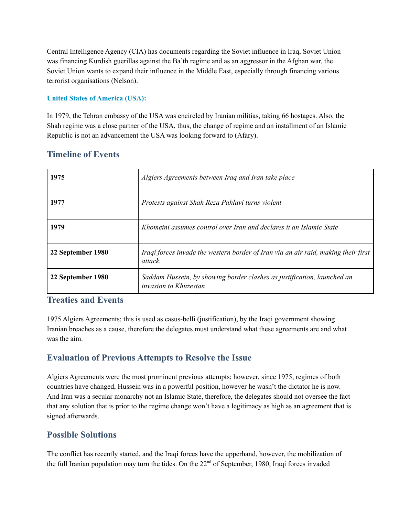Central Intelligence Agency (CIA) has documents regarding the Soviet influence in Iraq, Soviet Union was financing Kurdish guerillas against the Ba'th regime and as an aggressor in the Afghan war, the Soviet Union wants to expand their influence in the Middle East, especially through financing various terrorist organisations (Nelson).

#### **United States of America (USA):**

In 1979, the Tehran embassy of the USA was encircled by Iranian militias, taking 66 hostages. Also, the Shah regime was a close partner of the USA, thus, the change of regime and an installment of an Islamic Republic is not an advancement the USA was looking forward to (Afary).

# **Timeline of Events**

| 1975              | Algiers Agreements between Iraq and Iran take place                                                     |
|-------------------|---------------------------------------------------------------------------------------------------------|
| 1977              | Protests against Shah Reza Pahlavi turns violent                                                        |
| 1979              | Khomeini assumes control over Iran and declares it an Islamic State                                     |
| 22 September 1980 | Iraqi forces invade the western border of Iran via an air raid, making their first<br>attack.           |
| 22 September 1980 | Saddam Hussein, by showing border clashes as justification, launched an<br><i>invasion to Khuzestan</i> |

#### **Treaties and Events**

1975 Algiers Agreements; this is used as casus-belli (justification), by the Iraqi government showing Iranian breaches as a cause, therefore the delegates must understand what these agreements are and what was the aim.

# **Evaluation of Previous Attempts to Resolve the Issue**

Algiers Agreements were the most prominent previous attempts; however, since 1975, regimes of both countries have changed, Hussein was in a powerful position, however he wasn't the dictator he is now. And Iran was a secular monarchy not an Islamic State, therefore, the delegates should not oversee the fact that any solution that is prior to the regime change won't have a legitimacy as high as an agreement that is signed afterwards.

# **Possible Solutions**

The conflict has recently started, and the Iraqi forces have the upperhand, however, the mobilization of the full Iranian population may turn the tides. On the 22<sup>nd</sup> of September, 1980, Iraqi forces invaded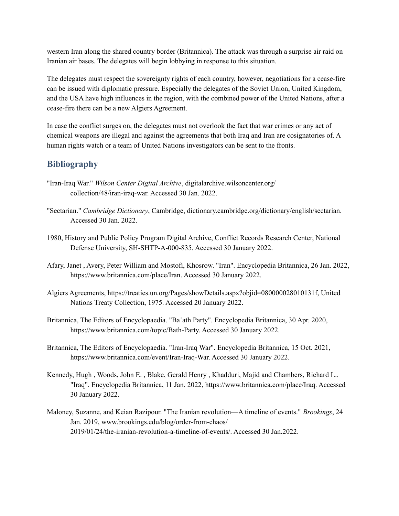western Iran along the shared country border (Britannica). The attack was through a surprise air raid on Iranian air bases. The delegates will begin lobbying in response to this situation.

The delegates must respect the sovereignty rights of each country, however, negotiations for a cease-fire can be issued with diplomatic pressure. Especially the delegates of the Soviet Union, United Kingdom, and the USA have high influences in the region, with the combined power of the United Nations, after a cease-fire there can be a new Algiers Agreement.

In case the conflict surges on, the delegates must not overlook the fact that war crimes or any act of chemical weapons are illegal and against the agreements that both Iraq and Iran are cosignatories of. A human rights watch or a team of United Nations investigators can be sent to the fronts.

# **Bibliography**

- "Iran-Iraq War." *Wilson Center Digital Archive*, digitalarchive.wilsoncenter.org/ collection/48/iran-iraq-war. Accessed 30 Jan. 2022.
- "Sectarian." *Cambridge Dictionary*, Cambridge, dictionary.cambridge.org/dictionary/english/sectarian. Accessed 30 Jan. 2022.
- 1980, History and Public Policy Program Digital Archive, Conflict Records Research Center, National Defense University, SH-SHTP-A-000-835. Accessed 30 January 2022.
- Afary, Janet , Avery, Peter William and Mostofi, Khosrow. "Iran". Encyclopedia Britannica, 26 Jan. 2022, https://www.britannica.com/place/Iran. Accessed 30 January 2022.
- Algiers Agreements, https://treaties.un.org/Pages/showDetails.aspx?objid=080000028010131f, United Nations Treaty Collection, 1975. Accessed 20 January 2022.
- Britannica, The Editors of Encyclopaedia. "Baʿath Party". Encyclopedia Britannica, 30 Apr. 2020, https://www.britannica.com/topic/Bath-Party. Accessed 30 January 2022.
- Britannica, The Editors of Encyclopaedia. "Iran-Iraq War". Encyclopedia Britannica, 15 Oct. 2021, https://www.britannica.com/event/Iran-Iraq-War. Accessed 30 January 2022.
- Kennedy, Hugh , Woods, John E. , Blake, Gerald Henry , Khadduri, Majid and Chambers, Richard L.. "Iraq". Encyclopedia Britannica, 11 Jan. 2022, https://www.britannica.com/place/Iraq. Accessed 30 January 2022.
- Maloney, Suzanne, and Keian Razipour. "The Iranian revolution—A timeline of events." *Brookings*, 24 Jan. 2019, www.brookings.edu/blog/order-from-chaos/ 2019/01/24/the-iranian-revolution-a-timeline-of-events/. Accessed 30 Jan.2022.